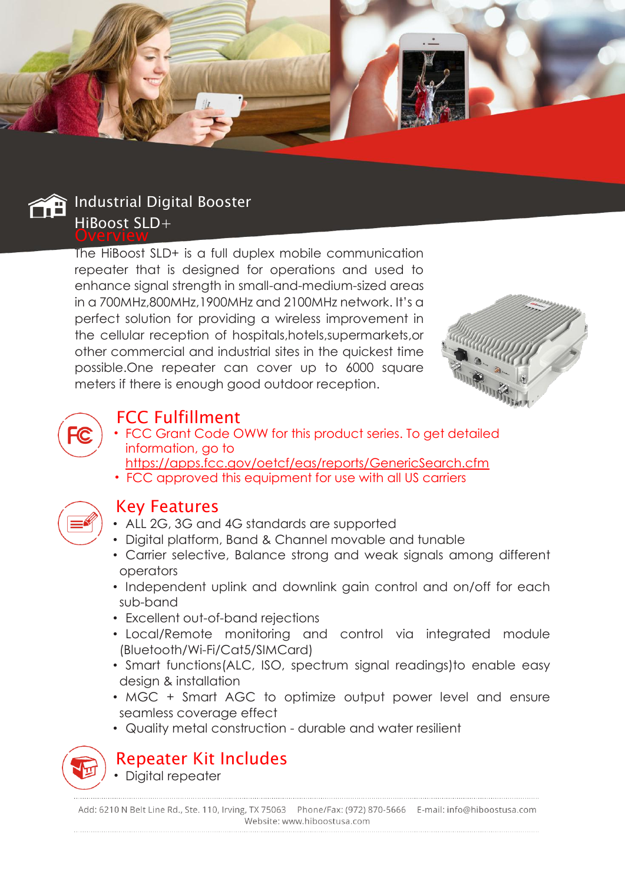



The HiBoost SLD+ is a full duplex mobile communication repeater that is designed for operations and used to enhance signal strength in small-and-medium-sized areas in a 700MHz,800MHz,1900MHz and 2100MHz network. It's a perfect solution for providing a wireless improvement in the cellular reception of hospitals,hotels,supermarkets,or other commercial and industrial sites in the quickest time possible.One repeater can cover up to 6000 square meters if there is enough good outdoor reception.





## FCC Fulfillment

- FCC Grant Code OWW for this product series. To get detailed information, go to
- https://apps.fcc.gov/oetcf/eas/reports/GenericSearch.cfm
- FCC approved this equipment for use with all US carriers



## Key Features

- ALL 2G, 3G and 4G standards are supported
- Digital platform, Band & Channel movable and tunable
- Carrier selective, Balance strong and weak signals among different operators
- Independent uplink and downlink gain control and on/off for each sub-band
- Excellent out-of-band rejections
- Local/Remote monitoring and control via integrated module (Bluetooth/Wi-Fi/Cat5/SIMCard)
- Smart functions(ALC, ISO, spectrum signal readings)to enable easy design & installation
- MGC + Smart AGC to optimize output power level and ensure seamless coverage effect
- Quality metal construction durable and water resilient



Repeater Kit Includes • Digital repeater